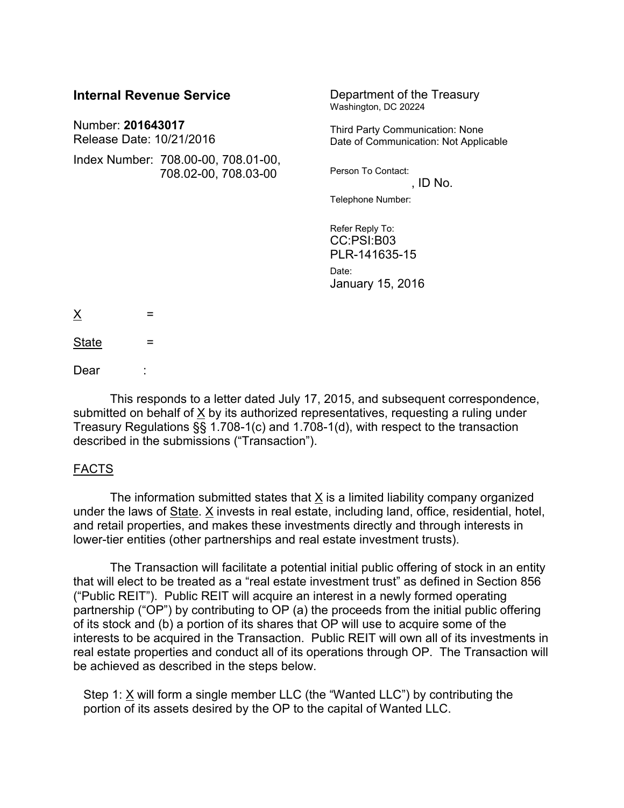| <b>Internal Revenue Service</b>               |                                                             | Department of the Treasury<br>Washington, DC 20224                       |
|-----------------------------------------------|-------------------------------------------------------------|--------------------------------------------------------------------------|
| Number: 201643017<br>Release Date: 10/21/2016 |                                                             | Third Party Communication: None<br>Date of Communication: Not Applicable |
|                                               | Index Number: 708.00-00, 708.01-00,<br>708.02-00, 708.03-00 | Person To Contact:<br>, ID No.                                           |
|                                               |                                                             | Telephone Number:                                                        |
|                                               |                                                             | Refer Reply To:<br>CC:PSI:B03<br>PLR-141635-15                           |
|                                               |                                                             | Date:<br>January 15, 2016                                                |
| <u>X</u><br>=                                 |                                                             |                                                                          |
| <b>State</b><br>=                             |                                                             |                                                                          |

Dear

This responds to a letter dated July 17, 2015, and subsequent correspondence, submitted on behalf of  $X$  by its authorized representatives, requesting a ruling under Treasury Regulations §§ 1.708-1(c) and 1.708-1(d), with respect to the transaction described in the submissions ("Transaction").

### FACTS

The information submitted states that X is a limited liability company organized under the laws of State. X invests in real estate, including land, office, residential, hotel, and retail properties, and makes these investments directly and through interests in lower-tier entities (other partnerships and real estate investment trusts).

The Transaction will facilitate a potential initial public offering of stock in an entity that will elect to be treated as a "real estate investment trust" as defined in Section 856 ("Public REIT"). Public REIT will acquire an interest in a newly formed operating partnership ("OP") by contributing to OP (a) the proceeds from the initial public offering of its stock and (b) a portion of its shares that OP will use to acquire some of the interests to be acquired in the Transaction. Public REIT will own all of its investments in real estate properties and conduct all of its operations through OP. The Transaction will be achieved as described in the steps below.

Step 1:  $X$  will form a single member LLC (the "Wanted LLC") by contributing the portion of its assets desired by the OP to the capital of Wanted LLC.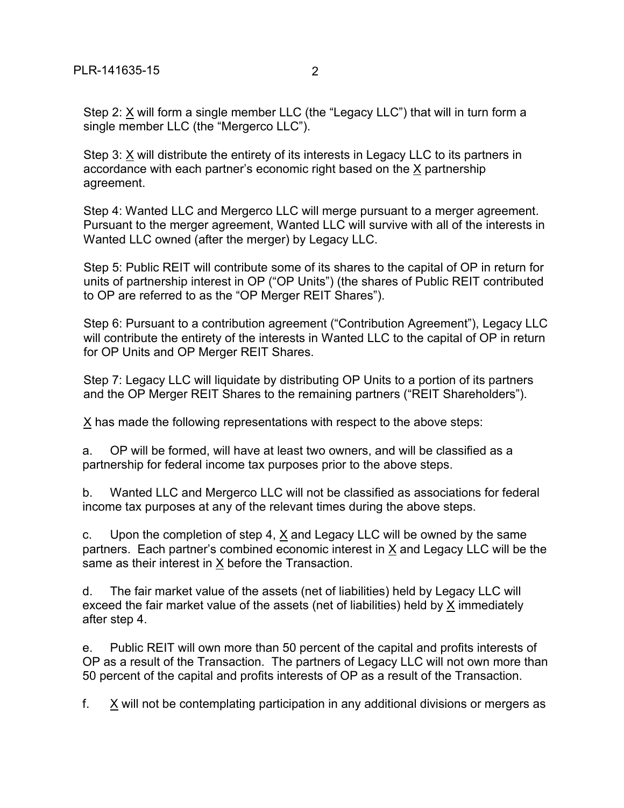Step 2: X will form a single member LLC (the "Legacy LLC") that will in turn form a single member LLC (the "Mergerco LLC").

Step 3: X will distribute the entirety of its interests in Legacy LLC to its partners in accordance with each partner's economic right based on the X partnership agreement.

Step 4: Wanted LLC and Mergerco LLC will merge pursuant to a merger agreement. Pursuant to the merger agreement, Wanted LLC will survive with all of the interests in Wanted LLC owned (after the merger) by Legacy LLC.

Step 5: Public REIT will contribute some of its shares to the capital of OP in return for units of partnership interest in OP ("OP Units") (the shares of Public REIT contributed to OP are referred to as the "OP Merger REIT Shares").

Step 6: Pursuant to a contribution agreement ("Contribution Agreement"), Legacy LLC will contribute the entirety of the interests in Wanted LLC to the capital of OP in return for OP Units and OP Merger REIT Shares.

Step 7: Legacy LLC will liquidate by distributing OP Units to a portion of its partners and the OP Merger REIT Shares to the remaining partners ("REIT Shareholders").

X has made the following representations with respect to the above steps:

a. OP will be formed, will have at least two owners, and will be classified as a partnership for federal income tax purposes prior to the above steps.

b. Wanted LLC and Mergerco LLC will not be classified as associations for federal income tax purposes at any of the relevant times during the above steps.

c. Upon the completion of step 4, X and Legacy LLC will be owned by the same partners. Each partner's combined economic interest in  $X$  and Legacy LLC will be the same as their interest in X before the Transaction.

d. The fair market value of the assets (net of liabilities) held by Legacy LLC will exceed the fair market value of the assets (net of liabilities) held by X immediately after step 4.

e. Public REIT will own more than 50 percent of the capital and profits interests of OP as a result of the Transaction. The partners of Legacy LLC will not own more than 50 percent of the capital and profits interests of OP as a result of the Transaction.

f. X will not be contemplating participation in any additional divisions or mergers as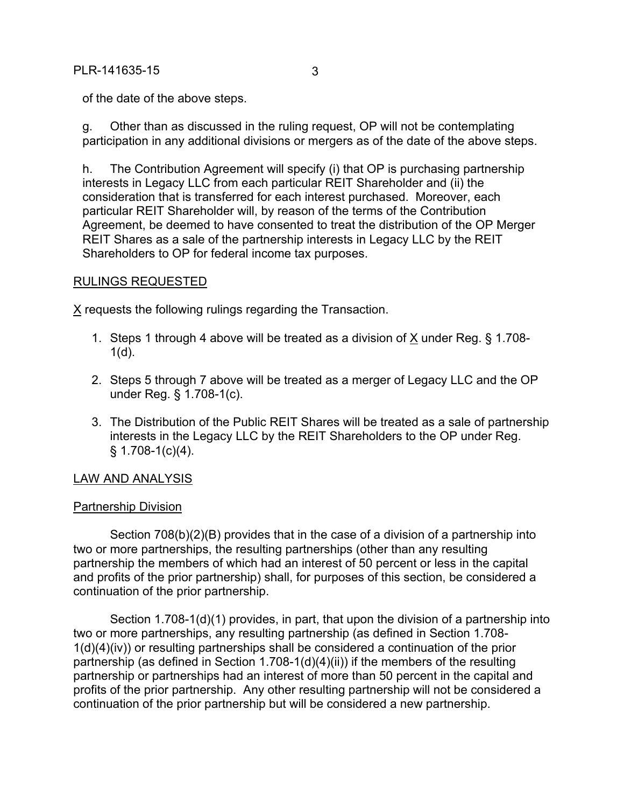of the date of the above steps.

g. Other than as discussed in the ruling request, OP will not be contemplating participation in any additional divisions or mergers as of the date of the above steps.

h. The Contribution Agreement will specify (i) that OP is purchasing partnership interests in Legacy LLC from each particular REIT Shareholder and (ii) the consideration that is transferred for each interest purchased. Moreover, each particular REIT Shareholder will, by reason of the terms of the Contribution Agreement, be deemed to have consented to treat the distribution of the OP Merger REIT Shares as a sale of the partnership interests in Legacy LLC by the REIT Shareholders to OP for federal income tax purposes.

## RULINGS REQUESTED

X requests the following rulings regarding the Transaction.

- 1. Steps 1 through 4 above will be treated as a division of X under Reg. § 1.708-  $1(d)$ .
- 2. Steps 5 through 7 above will be treated as a merger of Legacy LLC and the OP under Reg. § 1.708-1(c).
- 3. The Distribution of the Public REIT Shares will be treated as a sale of partnership interests in the Legacy LLC by the REIT Shareholders to the OP under Reg.  $§ 1.708-1(c)(4).$

# LAW AND ANALYSIS

### Partnership Division

Section 708(b)(2)(B) provides that in the case of a division of a partnership into two or more partnerships, the resulting partnerships (other than any resulting partnership the members of which had an interest of 50 percent or less in the capital and profits of the prior partnership) shall, for purposes of this section, be considered a continuation of the prior partnership.

Section 1.708-1(d)(1) provides, in part, that upon the division of a partnership into two or more partnerships, any resulting partnership (as defined in Section 1.708- 1(d)(4)(iv)) or resulting partnerships shall be considered a continuation of the prior partnership (as defined in Section 1.708-1(d)(4)(ii)) if the members of the resulting partnership or partnerships had an interest of more than 50 percent in the capital and profits of the prior partnership. Any other resulting partnership will not be considered a continuation of the prior partnership but will be considered a new partnership.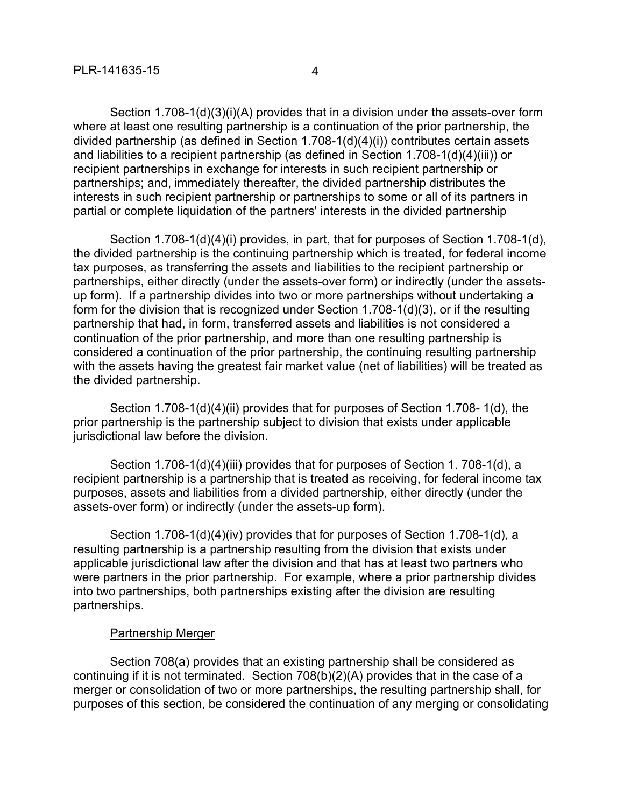Section 1.708-1(d)(3)(i)(A) provides that in a division under the assets-over form where at least one resulting partnership is a continuation of the prior partnership, the divided partnership (as defined in Section 1.708-1(d)(4)(i)) contributes certain assets and liabilities to a recipient partnership (as defined in Section 1.708-1(d)(4)(iii)) or recipient partnerships in exchange for interests in such recipient partnership or partnerships; and, immediately thereafter, the divided partnership distributes the interests in such recipient partnership or partnerships to some or all of its partners in partial or complete liquidation of the partners' interests in the divided partnership

Section 1.708-1(d)(4)(i) provides, in part, that for purposes of Section 1.708-1(d), the divided partnership is the continuing partnership which is treated, for federal income tax purposes, as transferring the assets and liabilities to the recipient partnership or partnerships, either directly (under the assets-over form) or indirectly (under the assetsup form). If a partnership divides into two or more partnerships without undertaking a form for the division that is recognized under Section 1.708-1(d)(3), or if the resulting partnership that had, in form, transferred assets and liabilities is not considered a continuation of the prior partnership, and more than one resulting partnership is considered a continuation of the prior partnership, the continuing resulting partnership with the assets having the greatest fair market value (net of liabilities) will be treated as the divided partnership.

Section 1.708-1(d)(4)(ii) provides that for purposes of Section 1.708- 1(d), the prior partnership is the partnership subject to division that exists under applicable jurisdictional law before the division.

Section 1.708-1(d)(4)(iii) provides that for purposes of Section 1. 708-1(d), a recipient partnership is a partnership that is treated as receiving, for federal income tax purposes, assets and liabilities from a divided partnership, either directly (under the assets-over form) or indirectly (under the assets-up form).

Section 1.708-1(d)(4)(iv) provides that for purposes of Section 1.708-1(d), a resulting partnership is a partnership resulting from the division that exists under applicable jurisdictional law after the division and that has at least two partners who were partners in the prior partnership. For example, where a prior partnership divides into two partnerships, both partnerships existing after the division are resulting partnerships.

### Partnership Merger

Section 708(a) provides that an existing partnership shall be considered as continuing if it is not terminated. Section 708(b)(2)(A) provides that in the case of a merger or consolidation of two or more partnerships, the resulting partnership shall, for purposes of this section, be considered the continuation of any merging or consolidating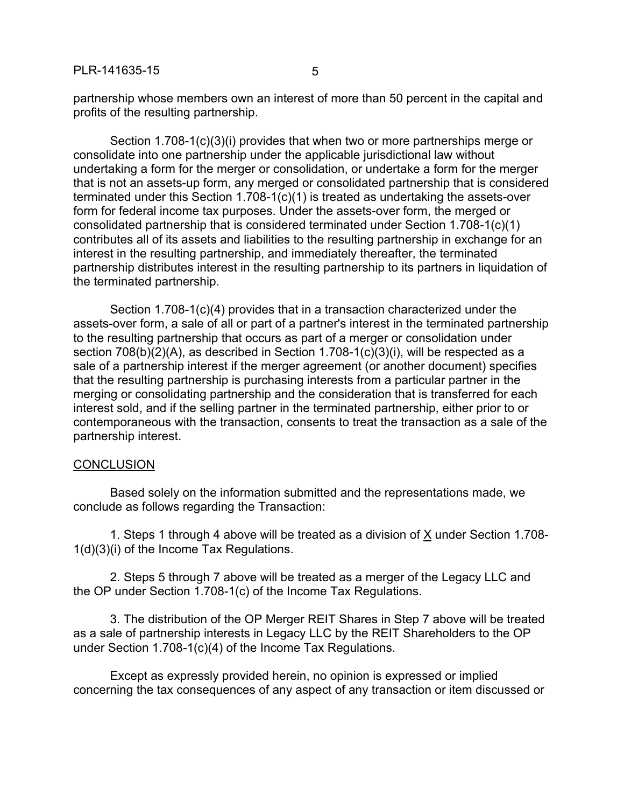partnership whose members own an interest of more than 50 percent in the capital and profits of the resulting partnership.

Section 1.708-1(c)(3)(i) provides that when two or more partnerships merge or consolidate into one partnership under the applicable jurisdictional law without undertaking a form for the merger or consolidation, or undertake a form for the merger that is not an assets-up form, any merged or consolidated partnership that is considered terminated under this Section 1.708-1(c)(1) is treated as undertaking the assets-over form for federal income tax purposes. Under the assets-over form, the merged or consolidated partnership that is considered terminated under Section 1.708-1(c)(1) contributes all of its assets and liabilities to the resulting partnership in exchange for an interest in the resulting partnership, and immediately thereafter, the terminated partnership distributes interest in the resulting partnership to its partners in liquidation of the terminated partnership.

Section 1.708-1(c)(4) provides that in a transaction characterized under the assets-over form, a sale of all or part of a partner's interest in the terminated partnership to the resulting partnership that occurs as part of a merger or consolidation under section 708(b)(2)(A), as described in Section 1.708-1(c)(3)(i), will be respected as a sale of a partnership interest if the merger agreement (or another document) specifies that the resulting partnership is purchasing interests from a particular partner in the merging or consolidating partnership and the consideration that is transferred for each interest sold, and if the selling partner in the terminated partnership, either prior to or contemporaneous with the transaction, consents to treat the transaction as a sale of the partnership interest.

#### **CONCLUSION**

Based solely on the information submitted and the representations made, we conclude as follows regarding the Transaction:

1. Steps 1 through 4 above will be treated as a division of X under Section 1.708- 1(d)(3)(i) of the Income Tax Regulations.

2. Steps 5 through 7 above will be treated as a merger of the Legacy LLC and the OP under Section 1.708-1(c) of the Income Tax Regulations.

3. The distribution of the OP Merger REIT Shares in Step 7 above will be treated as a sale of partnership interests in Legacy LLC by the REIT Shareholders to the OP under Section 1.708-1(c)(4) of the Income Tax Regulations.

Except as expressly provided herein, no opinion is expressed or implied concerning the tax consequences of any aspect of any transaction or item discussed or